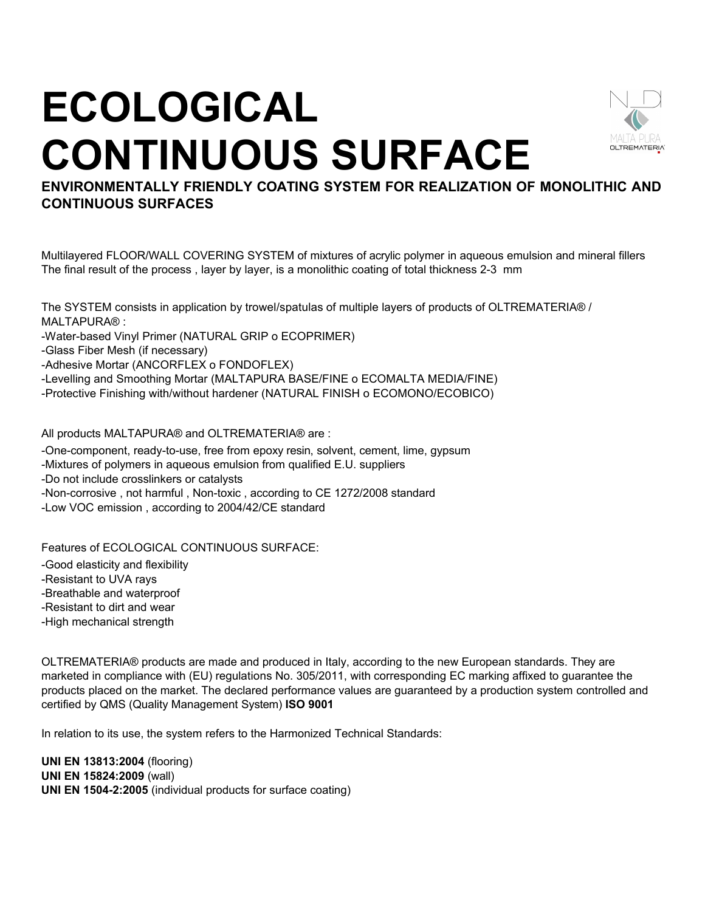## **ECOLOGICAL CONTINUOUS SURFACE**



**ENVIRONMENTALLY FRIENDLY COATING SYSTEM FOR REALIZATION OF MONOLITHIC AND CONTINUOUS SURFACES** 

Multilayered FLOOR/WALL COVERING SYSTEM of mixtures of acrylic polymer in aqueous emulsion and mineral fillers The final result of the process , layer by layer, is a monolithic coating of total thickness 2-3 mm

The SYSTEM consists in application by trowel/spatulas of multiple layers of products of OLTREMATERIA® / MALTAPURA® :

-Water-based Vinyl Primer (NATURAL GRIP o ECOPRIMER)

-Glass Fiber Mesh (if necessary)

-Adhesive Mortar (ANCORFLEX o FONDOFLEX)

-Levelling and Smoothing Mortar (MALTAPURA BASE/FINE o ECOMALTA MEDIA/FINE)

-Protective Finishing with/without hardener (NATURAL FINISH o ECOMONO/ECOBICO)

All products MALTAPURA® and OLTREMATERIA® are :

-One-component, ready-to-use, free from epoxy resin, solvent, cement, lime, gypsum

-Mixtures of polymers in aqueous emulsion from qualified E.U. suppliers

-Do not include crosslinkers or catalysts

-Non-corrosive , not harmful , Non-toxic , according to CE 1272/2008 standard

-Low VOC emission , according to 2004/42/CE standard

Features of ECOLOGICAL CONTINUOUS SURFACE:

-Good elasticity and flexibility

-Resistant to UVA rays

-Breathable and waterproof

-Resistant to dirt and wear

-High mechanical strength

OLTREMATERIA® products are made and produced in Italy, according to the new European standards. They are marketed in compliance with (EU) regulations No. 305/2011, with corresponding EC marking affixed to guarantee the products placed on the market. The declared performance values are guaranteed by a production system controlled and certified by QMS (Quality Management System) **ISO 9001**

In relation to its use, the system refers to the Harmonized Technical Standards:

**UNI EN 13813:2004** (flooring) **UNI EN 15824:2009** (wall) **UNI EN 1504-2:2005** (individual products for surface coating)